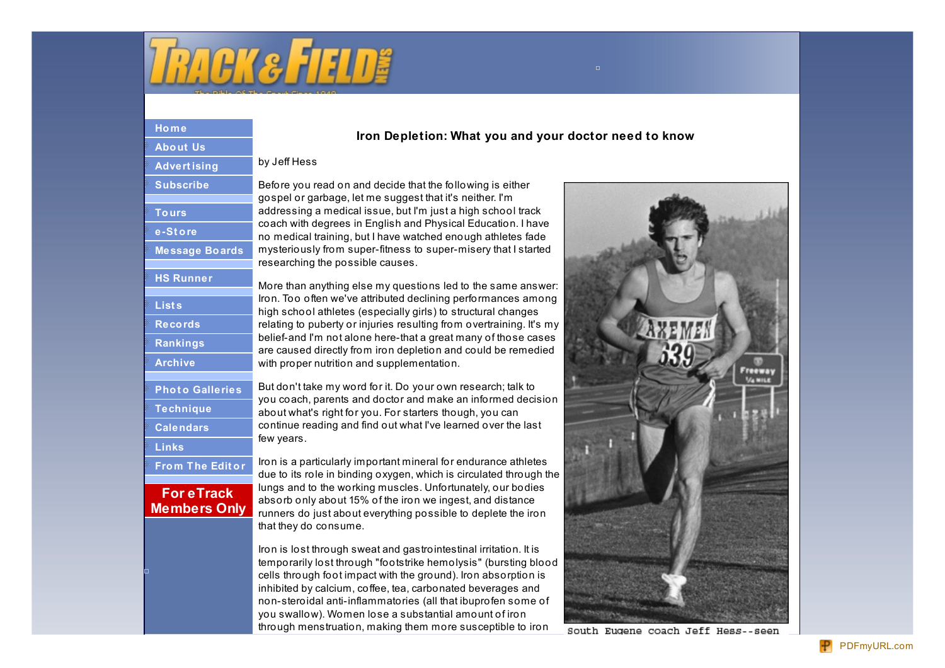

# **H o [m](http://www.trackandfieldnews.com/) e [A](http://www.trackandfieldnews.com/about_us/) b o u t U s [A](http://www.trackandfieldnews.com/advertising/) d v e r t i s i n g [S](http://www.trackandfieldnews.com/subscribe/)ubscribe [T](http://www.trackandfieldnews.com/tours/) o u r s e - [S](http://www.trackandfieldnews.com/cgi-bin/store/commerce.cgi) t o r e [M](http://www.trackandfieldnews.com/tfn/discussion/)essage Boards [H](http://www.trackandfieldnews.com/hs/)S** Runner **[L](http://www.trackandfieldnews.com/lists/) i s t s [R](http://www.trackandfieldnews.com/records/) e c o r d s [R](http://www.trackandfieldnews.com/rankings/)ankings [A](http://www.trackandfieldnews.com/archive/) r c h i v e Photo [G](http://www.trackandfieldnews.com/galleries/)alleries [T](http://www.trackandfieldnews.com/technique/) e c h n i q u e calendars [L](http://www.trackandfieldnews.com/links/) i n k s Fro[m](http://www.trackandfieldnews.com/tfn/fte/) The Editor For eTrack Membe[rs](http://www.trackandfieldnews.com/tfn/etrack/) Only**

## Iron Depletion: What you and your doctor need to know

### by Jeff Hess

Before you read on and decide that the following is either gospel or garbage, let me suggest that it's neither. I'm addressing a medical issue, but I'm just a high school track coach with degrees in English and Physical Education. I have no medical training, but I have watched enough athletes fade mysteriously from super-fitness to super-misery that I started researching the possible causes.

More than anything else my questions led to the same answer: Iron. Too often we've attributed declining performances among high school athletes (especially girls) to structural changes relating to puberty or injuries resulting from overtraining. It's my belief-and I'm not alone here-that a great many of those cases are caused directly from iron depletion and could be remedied with proper nutrition and supplementation.

But don't take my word for it. Do your own research; talk to you coach, parents and doctor and make an informed decision about what's right for you. For starters though, you can continue reading and find out what I've learned over the last few years.

Iron is a particularly important mineral for endurance athletes due to its role in binding oxygen, which is circulated through the lungs and to the working muscles. Unfortunately, our bodies absorb only about 15% of the iron we ingest, and distance runners do just about everything possible to deplete the iron that they do consume.

Iron is lost through sweat and gastrointestinal irritation. It is temporarily lost through "footstrike hemolysis" (bursting blood cells through foot impact with the ground). Iron absorption is inhibited by calcium, coffee, tea, carbonated beverages and non-steroidal anti-inflammatories (all that ibuprofen some of you swallow). Women lose a substantial amount of iron through menstruation, making them more susceptible to iron



South Eugene coach Jeff Hess--seen

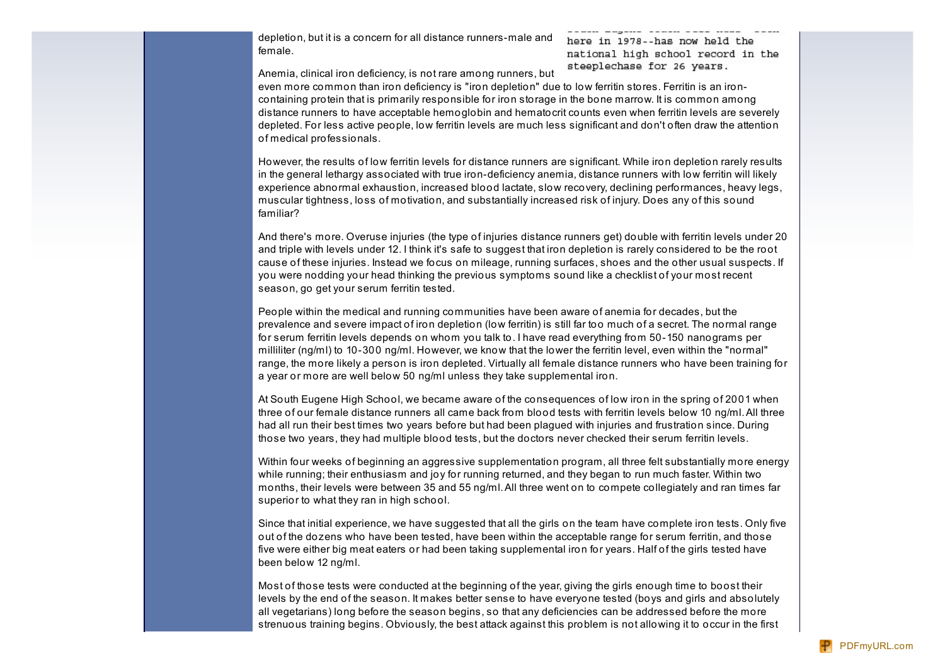depletion, but it is a concern for all distance runners-male and female.

here in 1978--has now held the national high school record in the steeplechase for 26 years.

Anemia, clinical iron deficiency, is not rare among runners, but

even more common than iron deficiency is "iron depletion" due to low ferritin stores. Ferritin is an ironcontaining protein that is primarily responsible for iron storage in the bone marrow. It is common among distance runners to have acceptable hemoglobin and hematocrit counts even when ferritin levels are severely depleted. For less active people, low ferritin levels are much less significant and don't often draw the attention of medical professionals.

However, the results of low ferritin levels for distance runners are significant. While iron depletion rarely results in the general lethargy associated with true iron-deficiency anemia, distance runners with low ferritin will likely experience abnormal exhaustion, increased blood lactate, slow recovery, declining performances, heavy legs, muscular tightness, loss of motivation, and substantially increased risk of injury. Does any of this sound familiar?

And there's more. Overuse injuries (the type of injuries distance runners get) double with ferritin levels under 20 and triple with levels under 12. I think it's safe to suggest that iron depletion is rarely considered to be the root cause of these injuries. Instead we focus on mileage, running surfaces, shoes and the other usual suspects. If you were nodding your head thinking the previous symptoms sound like a checklist of your most recent season, go get your serum ferritin tested.

People within the medical and running communities have been aware of anemia for decades, but the prevalence and severe impact of iron depletion (low ferritin) is still far too much of a secret. The normal range for serum ferritin levels depends on whom you talk to. I have read everything from 50-150 nanograms per milliliter (ng/ml) to 10-300 ng/ml. However, we know that the lower the ferritin level, even within the "normal" range, the more likely a person is iron depleted. Virtually all female distance runners who have been training for a year or more are well below 50 ng/ml unless they take supplemental iron.

At South Eugene High School, we became aware of the consequences of low iron in the spring of 2001 when three of our female distance runners all came back from blood tests with ferritin levels below 10 ng/ml.All three had all run their best times two years before but had been plagued with injuries and frustration since. During those two years, they had multiple blood tests, but the doctors never checked their serum ferritin levels.

Within four weeks of beginning an aggressive supplementation program, all three felt substantially more energy while running; their enthusiasm and joy for running returned, and they began to run much faster. Within two months, their levels were between 35 and 55 ng/ml.All three went on to compete collegiately and ran times far superior to what they ran in high school.

Since that initial experience, we have suggested that all the girls on the team have complete iron tests. Only five out of the dozens who have been tested, have been within the acceptable range for serum ferritin, and those five were either big meat eaters or had been taking supplemental iron for years. Half of the girls tested have been below 12 ng/ml.

Most of those tests were conducted at the beginning of the year, giving the girls enough time to boost their levels by the end of the season. It makes better sense to have everyone tested (boys and girls and absolutely all vegetarians) long before the season begins, so that any deficiencies can be addressed before the more strenuous training begins. Obviously, the best attack against this problem is not allowing it to occur in the first